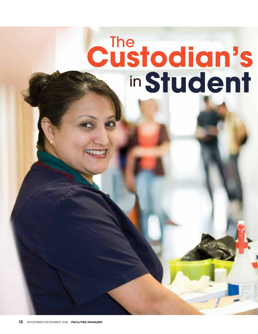# **Student** The in Custodian's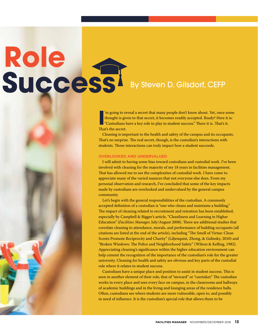# Success **Role**

## By Steven D. Gilsdorf, CEFP

If yought is given thought is given the secret.<br> **I** That's the secret. 'm going to reveal a secret that many people don't know about. Yet, once some thought is given to that secret, it becomes readily accepted. Ready? Here it is: "Custodians have a key role to play in student success." There it is. That's it.

Cleaning is important to the health and safety of the campus and its occupants. That's no surprise. The real secret, though, is the custodian's interactions with students. Those interactions can truly impact how a student succeeds.

#### **OVERLOOKED AND UNDERVALUED**

I will admit to having some bias toward custodians and custodial work. I've been involved with cleaning for the majority of my 18 years in facilities management. That has allowed me to see the complexities of custodial work. I have come to appreciate many of the varied nuances that not everyone else does. From my personal observation and research, I've concluded that some of the key impacts made by custodians are overlooked and undervalued by the general campus community.

Let's begin with the general responsibilities of the custodian. A commonly accepted definition of a custodian is "one who cleans and maintains a building." The impact of cleaning related to recruitment and retention has been established, especially by Campbell & Bigger's article, "Cleanliness and Learning in Higher Education" (*Facilities Manager,* July/August 2008). There are additional studies that correlate cleaning to attendance, morale, and performance of building occupants (all citations are listed at the end of the article), including "The Smell of Virtue: Clean Scents Promote Reciprocity and Charity" (Liljenquist, Zhong, & Galinsky, 2010) and "Broken Windows: The Police and Neighborhood Safety" (Wilson & Kelling, 1982). Appreciating cleaning's significance within the higher education environment can help cement the recognition of the importance of the custodian's role for the greater university. Cleaning for health and safety are obvious and key parts of the custodial role where it relates to student success.

Custodians have a unique place and position to assist in student success. This is seen in another element of their role, that of "steward" or "caretaker." The custodian works in every place and sees every face on campus, in the classrooms and hallways of academic buildings and in the living and lounging areas of the residence halls. Often, custodians see where students are more vulnerable, open to, and possibly in need of influence. It is the custodian's special role that allows them to be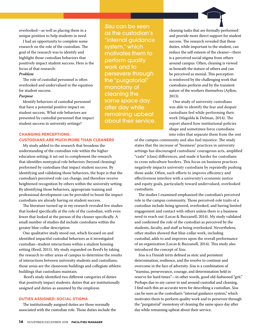overlooked—as well as placing them in a unique position to help students in need.

I had an opportunity to complete some research on the role of the custodian. The goal of the research was to identify and highlight those custodian behaviors that positively impact student success. Here is the focus of that research:

#### *Problem*

The role of custodial personnel is often overlooked and undervalued in the equation for student success.

#### *Purpose*

Identify behaviors of custodial personnel that have a potential positive impact on student success. What role behaviors are presented by custodial personnel that impact student success in university settings?

### **CHANGING PERCEPTIONS:**

#### **CUSTODIANS ARE MUCH MORE THAN CLEANERS**

My study added to the research that broadens the understanding of the custodian role within the higher education setting; it set out to complement the research that identifies nontypical role behaviors (beyond cleaning) performed by custodians that impact student success. By identifying and validating those behaviors, the hope is that the custodian's perceived role can change, and therefore receive heightened recognition by others within the university setting. By identifying those behaviors, appropriate training and professional development can be provided to boost the impact custodians are already having on student success.

The literature turned up in my research revealed few studies that looked specifically at the role of the custodian, with even fewer that looked at the person of the cleaner specifically. A small number of studies did include custodians within the greater blue-collar description.

One qualitative study stood out, which focused on and identified impactful custodial behaviors as it investigated custodian–student interactions within a student housing setting (Reed, 2015). My study expanded on Reed's by taking the research to other areas of campus to determine the results of interactions between university students and custodians; those areas are the classroom buildings and collegiate athletic buildings that custodians maintain.

 Reed's study identified two different categories of duties that positively impact students: duties that are institutionally assigned and duties as assumed by the employee.

#### **DUTIES ASSIGNED: SOCIAL STIGMA**

The institutionally assigned duties are those normally associated with the custodian role. Those duties include the

*Sisu* can be seen as the custodian's "internal guidance system," which motivates them to perform quality work and to persevere through the "purgatorial" monotony of cleaning the same space day after day while remaining upbeat about their service.



cleaning tasks that are formally performed and provide more direct support for student success. The research revealed that these duties, while important to the student, can reduce the self-esteem of the cleaner—there is a perceived social stigma from others around campus. Often, cleaning is viewed as beneath the stature of others and can be perceived as menial. This perception is reinforced by the challenging work that custodians perform and by the transient nature of the workers themselves (Ayllon, 2013).

One study of university custodians was able to identify the fear and despair custodians feel while performing their work (Magolda & Delman, 2014). The report shared how institutional policies shape and sometimes force custodians into roles that separate them from the rest

of the campus community and also fuel injustice. The study states that the increase of "business" practices in university settings has discouraged custodians' courageous acts, amplified "caste" (class) differences, and made it harder for custodians to cross subculture borders. This focus on business practices negatively impacts university custodians by repeatedly pushing them aside. Often, such efforts to improve efficiency and effectiveness interfere with a university's economic justice and equity goals, particularly toward undervalued, overlooked custodians.

The studies I examined emphasized the custodian's perceived role in the campus community. Those perceived-role traits of a custodian include being ignored, overlooked, and having limited engagement and contact with others unless there is a business need to reach out (Lucas & Buzzanell, 2014). My study validated and confirmed the role of the custodian as perceived by the students, faculty, and staff as being overlooked. Nevertheless, other studies showed that blue-collar work, including custodial, adds to and improves upon the overall performance of an organization (Lucas & Buzzanell, 2014). This study also introduced the concept of *Sisu*.

*Sisu* is a Finnish term defined as stoic and persistent determination, resilience, and the resolve to continue and overcome in the face of adversity. *Sisu* is a combination of "stamina, perseverance, courage, and determination held in reserve for hard times"—in other words, good old-fashioned "grit." Perhaps due to my career in and around custodial and cleaning, I find such this an accurate term for describing a custodian. *Sisu* can be seen as the custodian's "internal guidance system," which motivates them to perform quality work and to persevere through the "purgatorial" monotony of cleaning the same space day after day while remaining upbeat about their service.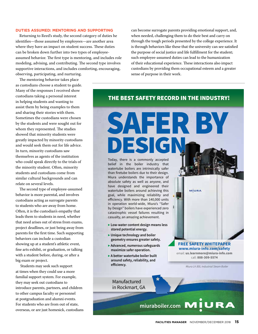#### **DUTIES ASSUMED: MENTORING AND SUPPORTING**

Returning to Reed's study, the second category of duties he identifies—those assumed by employees—are another area where they have an impact on student success. These duties can be broken down further into two types of employeeassumed behavior. The first type is mentoring, and includes role modeling, advising, and contributing. The second type involves supportive interactions, and includes comforting, encouraging, observing, participating, and nurturing.

The mentoring behavior takes place as custodians choose a student to guide. Many of the responses I received show custodians taking a personal interest in helping students and wanting to assist them by being examples to them and sharing their stories with them. Sometimes the custodians were chosen by the students and were sought out for whom they represented. The studies showed that minority students were greatly impacted by minority custodians and would seek them out for life advice. In turn, minority custodians saw themselves as agents of the institution who could speak directly to the trials of the minority student. Often, minority students and custodians come from similar cultural backgrounds and can relate on several levels.

The second type of employee-assumed behavior is more parental, and involves custodians acting as surrogate parents to students who are away from home. Often, it is the custodian's empathy that leads them to students in need, whether that need arises out of stress from exams, project deadlines, or just being away from parents for the first time. Such supporting behaviors can include a custodian showing up at a student's athletic event, fine arts exhibit, or graduation, or talking with a student before, during, or after a big exam or project.

 Students may seek such support at times when they could use a more familial support system. For example, they may seek out custodians to introduce parents, partners, and children to other campus faculty or personnel at postgraduation and alumni events. For students who are from out of state, overseas, or are just homesick, custodians can become surrogate parents providing emotional support, and, when needed, challenging them to do their best and carry on through the tough periods presented by the college experience. It is through behaviors like these that the university can see satisfied the purpose of social justice and life fulfillment for the student; such employee-assumed duties can lead to the humanization of their educational experience. These interactions also impact custodians by providing them occupational esteem and a greater sense of purpose in their work.

#### THE BEST SAFETY RECORD IN THE INDUSTRY!

SAFER BY

DESIGN Today, there is a commonly accepted belief in the boiler industry that watertube boilers are intrinsically safer than firetube boilers due to their design. Miura understands the importance of absolute safety as well as anyone, and have designed and engineered their watertube boilers around achieving this goal, while maximizing reliability and efficiency. With more than 140,000 units in operation world-wide, Miura's "Safer by Design" boilers have experienced zero catastrophic vessel failures resulting in casualty, an amazing achievement.

- **▶ Low-water content design means less stored potential energy.**
- **▶ Unique technology and boiler geometry ensures greater safety.**
- **▶ Advanced, numerous safeguards maximize safer operation.**
- **▶ A better watertube boiler built around safety, reliability, and**  efficiency.

Manufactured in Rockmart, GA

**FREE SAFETY WHITEPAPER www.miura-info.com/safety** email: **us.learnmore@miura-info.com** call: **888-309-5574**

MÍURA

Miura LX-300, Industrial Steam Boiler

**miuraboiler.com MIURA**